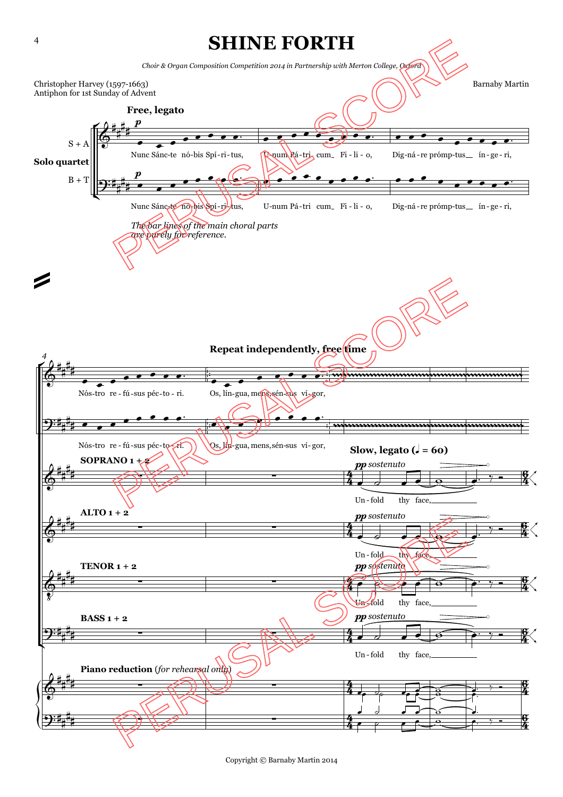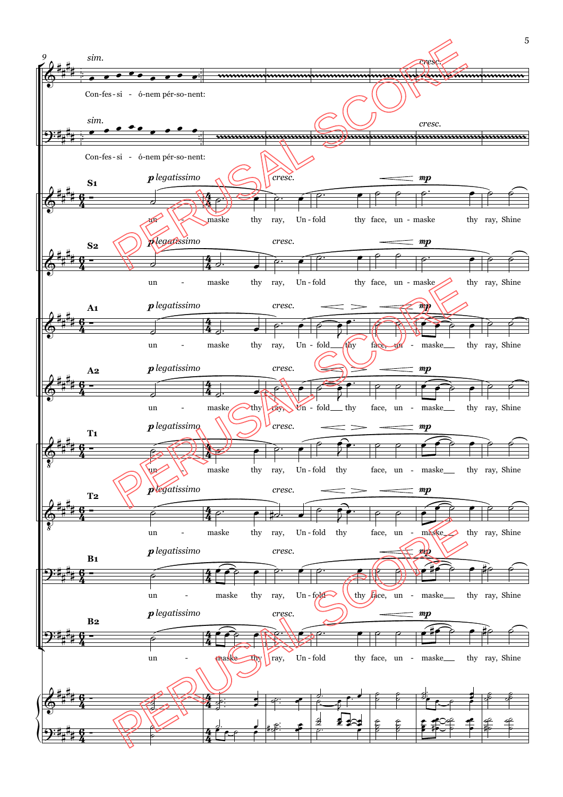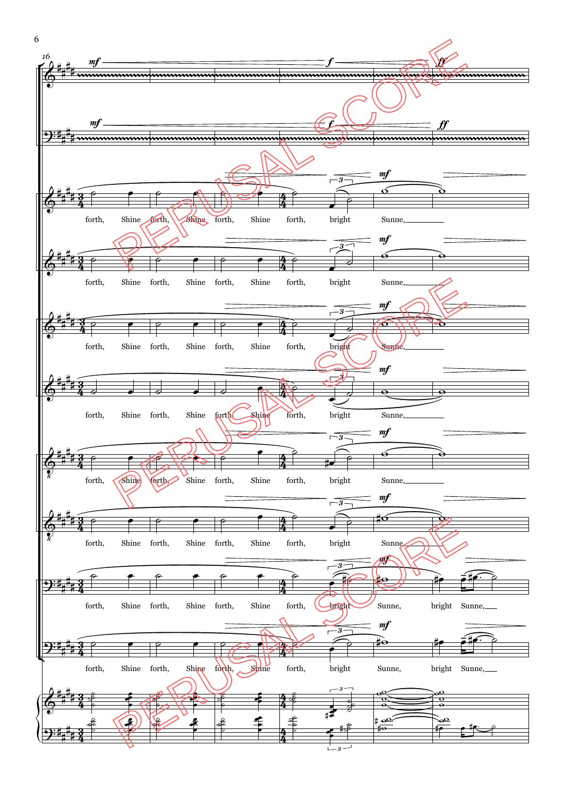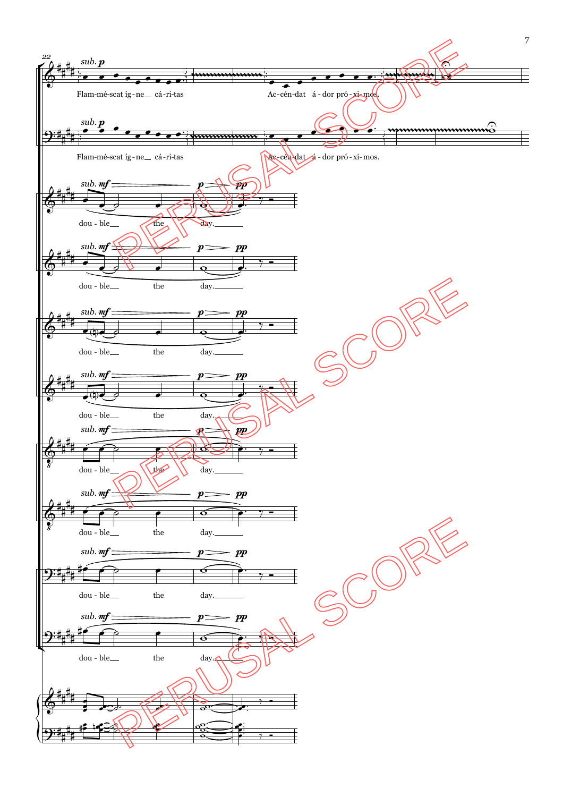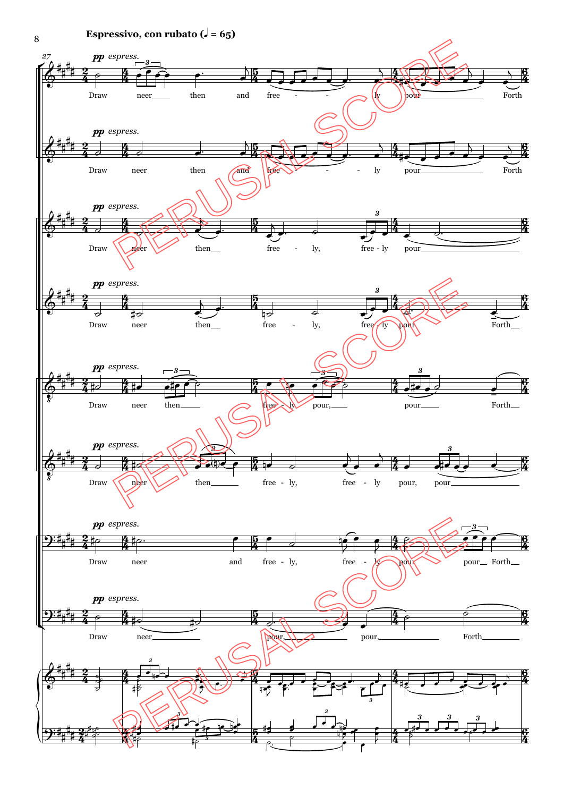**Espressivo, con rubato (** $\sqrt{ }$  **= 65)** 



8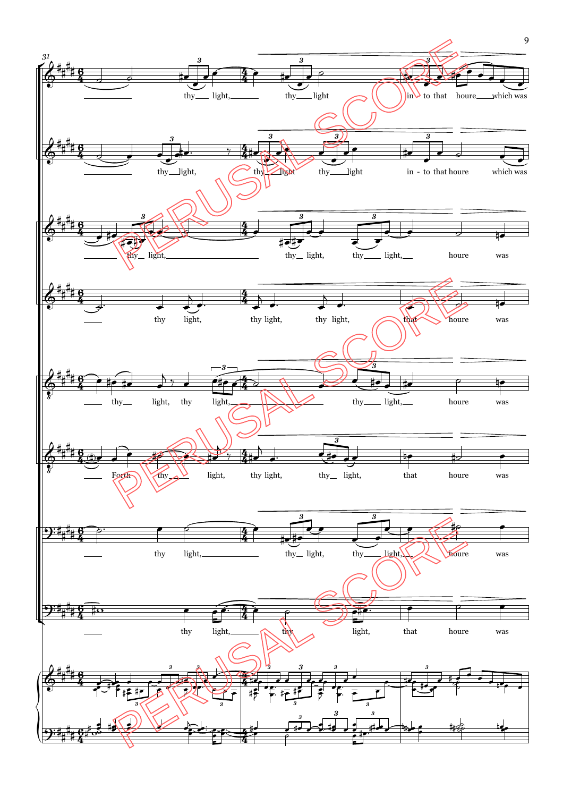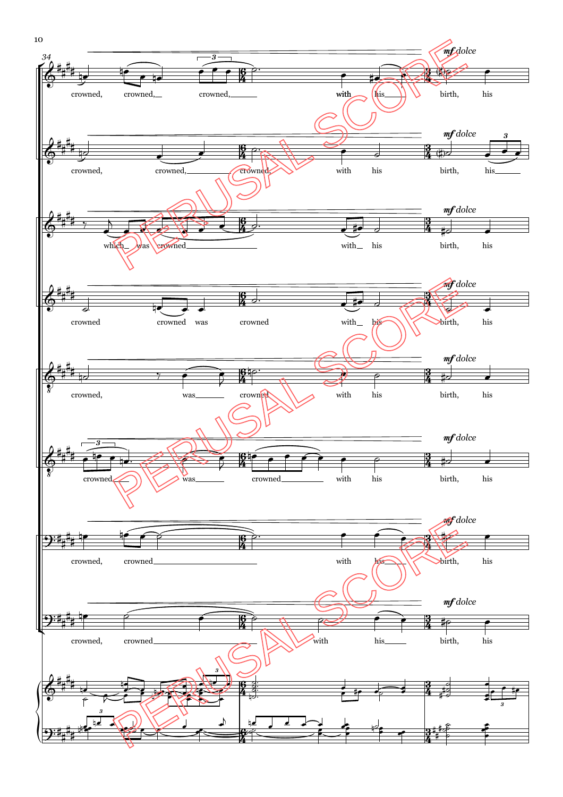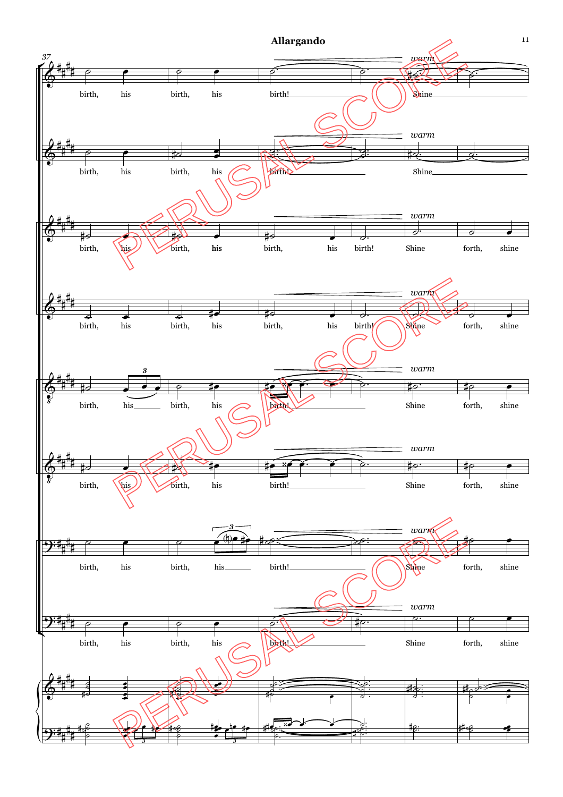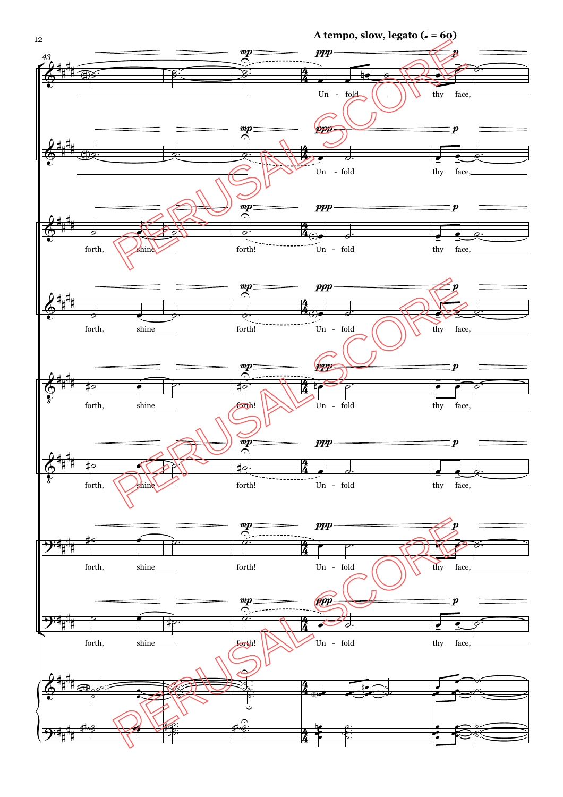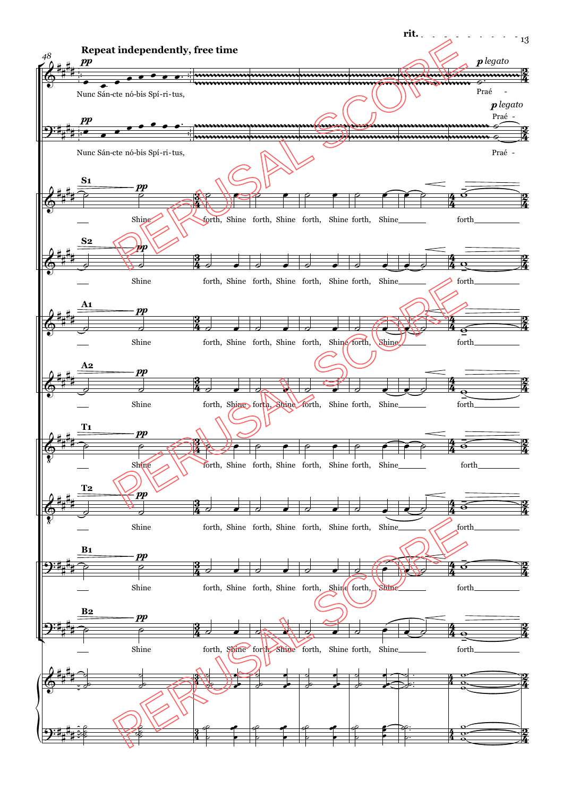